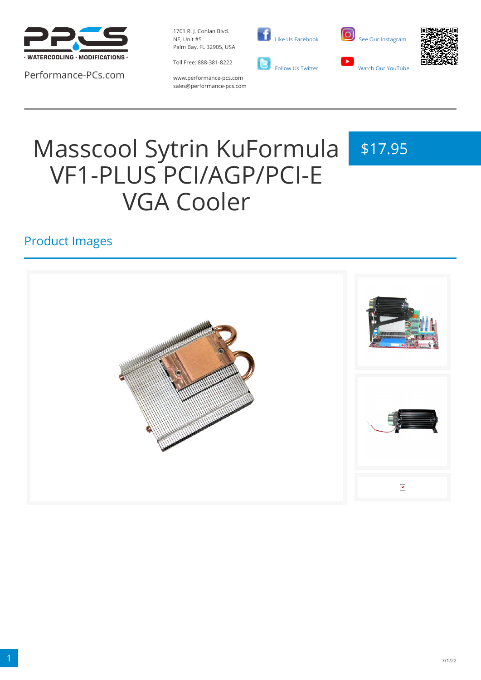

Performance-PCs.com

1701 R. J. Conlan Blvd. NE, Unit #5 Palm Bay, FL 32905, USA

Toll Free: 888-381-8222







www.performance-pcs.com sales@performance-pcs.com

# Masscool Sytrin KuFormula VF1-PLUS PCI/AGP/PCI-E VGA Cooler

## \$17.95

## Product Images

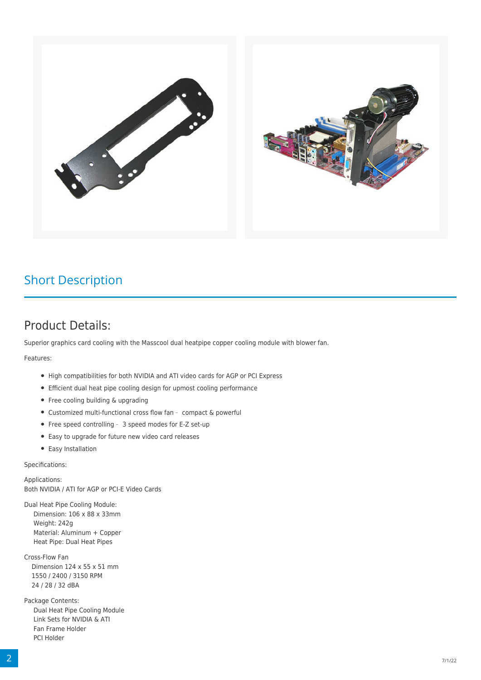

## Short Description

### Product Details:

Superior graphics card cooling with the Masscool dual heatpipe copper cooling module with blower fan.

Features:

- High compatibilities for both NVIDIA and ATI video cards for AGP or PCI Express
- Efficient dual heat pipe cooling design for upmost cooling performance
- Free cooling building & upgrading
- Customized multi-functional cross flow fan compact & powerful
- Free speed controlling 3 speed modes for E-Z set-up
- Easy to upgrade for future new video card releases
- Easy Installation

Specifications:

Applications: Both NVIDIA / ATI for AGP or PCI-E Video Cards

Dual Heat Pipe Cooling Module: Dimension: 106 x 88 x 33mm Weight: 242g Material: Aluminum + Copper Heat Pipe: Dual Heat Pipes

Cross-Flow Fan Dimension 124 x 55 x 51 mm 1550 / 2400 / 3150 RPM 24 / 28 / 32 dBA

Package Contents: Dual Heat Pipe Cooling Module Link Sets for NVIDIA & ATI Fan Frame Holder PCI Holder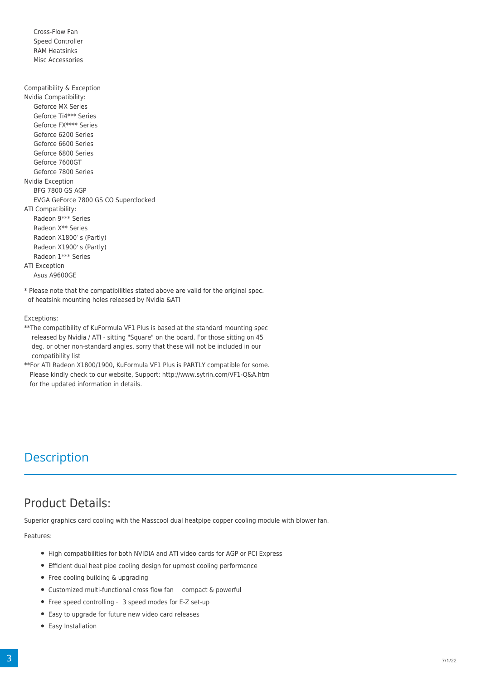Cross-Flow Fan Speed Controller RAM Heatsinks Misc Accessories

Compatibility & Exception Nvidia Compatibility: Geforce MX Series Geforce Ti4\*\*\* Series Geforce FX\*\*\*\* Series Geforce 6200 Series Geforce 6600 Series Geforce 6800 Series Geforce 7600GT Geforce 7800 Series Nvidia Exception BFG 7800 GS AGP EVGA GeForce 7800 GS CO Superclocked ATI Compatibility: Radeon 9\*\*\* Series Radeon X\*\* Series Radeon X1800's (Partly) Radeon X1900's (Partly) Radeon 1\*\*\* Series ATI Exception Asus A9600GE

\* Please note that the compatibilitIes stated above are valid for the original spec. of heatsink mounting holes released by Nvidia &ATI

#### Exceptions:

\*\*The compatibility of KuFormula VF1 Plus is based at the standard mounting spec released by Nvidia / ATI - sitting "Square" on the board. For those sitting on 45 deg. or other non-standard angles, sorry that these will not be included in our compatibility list

\*\*For ATI Radeon X1800/1900, KuFormula VF1 Plus is PARTLY compatible for some. Please kindly check to our website, Support: <http://www.sytrin.com/VF1-Q&A.htm> for the updated information in details.

## **Description**

## Product Details:

Superior graphics card cooling with the Masscool dual heatpipe copper cooling module with blower fan.

Features:

- High compatibilities for both NVIDIA and ATI video cards for AGP or PCI Express
- Efficient dual heat pipe cooling design for upmost cooling performance
- Free cooling building & upgrading
- Customized multi-functional cross flow fan compact & powerful
- Free speed controlling 3 speed modes for E-Z set-up
- Easy to upgrade for future new video card releases
- Easy Installation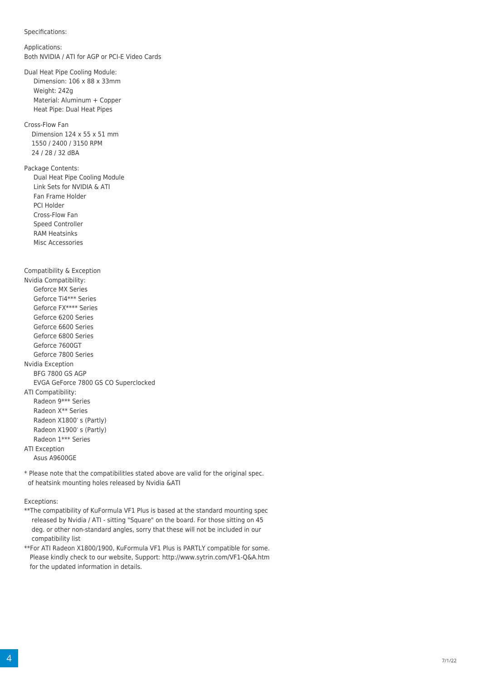```
Specifications:
Applications:
Both NVIDIA / ATI for AGP or PCI-E Video Cards
Dual Heat Pipe Cooling Module:
    Dimension: 106 x 88 x 33mm
    Weight: 242g
    Material: Aluminum + Copper
    Heat Pipe: Dual Heat Pipes
Cross-Flow Fan
   Dimension 124 x 55 x 51 mm
   1550 / 2400 / 3150 RPM
   24 / 28 / 32 dBA
Package Contents:
    Dual Heat Pipe Cooling Module
    Link Sets for NVIDIA & ATI
    Fan Frame Holder
    PCI Holder
    Cross-Flow Fan
    Speed Controller
    RAM Heatsinks
    Misc Accessories
Compatibility & Exception
Nvidia Compatibility:
    Geforce MX Series
    Geforce Ti4*** Series
    Geforce FX**** Series
    Geforce 6200 Series
    Geforce 6600 Series
    Geforce 6800 Series
    Geforce 7600GT 
    Geforce 7800 Series
Nvidia Exception
    BFG 7800 GS AGP
    EVGA GeForce 7800 GS CO Superclocked
ATI Compatibility:
    Radeon 9*** Series
    Radeon X** Series
   Radeon X1800's (Partly)
   Radeon X1900's (Partly)
    Radeon 1*** Series
ATI Exception
    Asus A9600GE
```
\* Please note that the compatibilitIes stated above are valid for the original spec. of heatsink mounting holes released by Nvidia &ATI

#### Exceptions:

- \*\*The compatibility of KuFormula VF1 Plus is based at the standard mounting spec released by Nvidia / ATI - sitting "Square" on the board. For those sitting on 45 deg. or other non-standard angles, sorry that these will not be included in our compatibility list
- \*\*For ATI Radeon X1800/1900, KuFormula VF1 Plus is PARTLY compatible for some. Please kindly check to our website, Support: <http://www.sytrin.com/VF1-Q&A.htm> for the updated information in details.